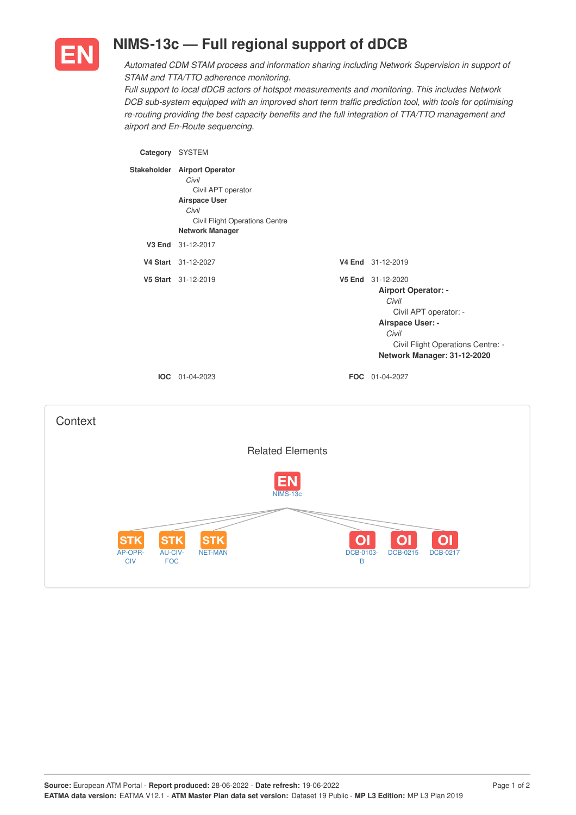

# **NIMS-13c — Full regional support of dDCB**

*Automated CDM STAM process and information sharing including Network Supervision in support of STAM and TTA/TTO adherence monitoring.*

*Full support to local dDCB actors of hotspot measurements and monitoring. This includes Network DCB sub-system equipped with an improved short term traffic prediction tool, with tools for optimising re-routing providing the best capacity benefits and the full integration of TTA/TTO management and airport and En-Route sequencing.*

**Category** SYSTEM **Stakeholder Airport Operator** *Civil* Civil APT operator **Airspace User** *Civil* Civil Flight Operations Centre **Network Manager V3 End** 31-12-2017 **V4 Start** 31-12-2027 **V4 End** 31-12-2019 **V5 Start** 31-12-2019 **V5 End** 31-12-2020 **Airport Operator: -** *Civil* Civil APT operator: - **Airspace User: -** *Civil* Civil Flight Operations Centre: - **Network Manager: 31-12-2020 IOC** 01-04-2023 **FOC** 01-04-2027 **Context** Related Elements NIMS-13c **STK STK**  $\Omega$  $\Omega$  $\Omega$ STK AU-CIV-NET-MAN DOB-0103-DCB-0215 DCB-021  $P-OP$ **CIV** FOC B